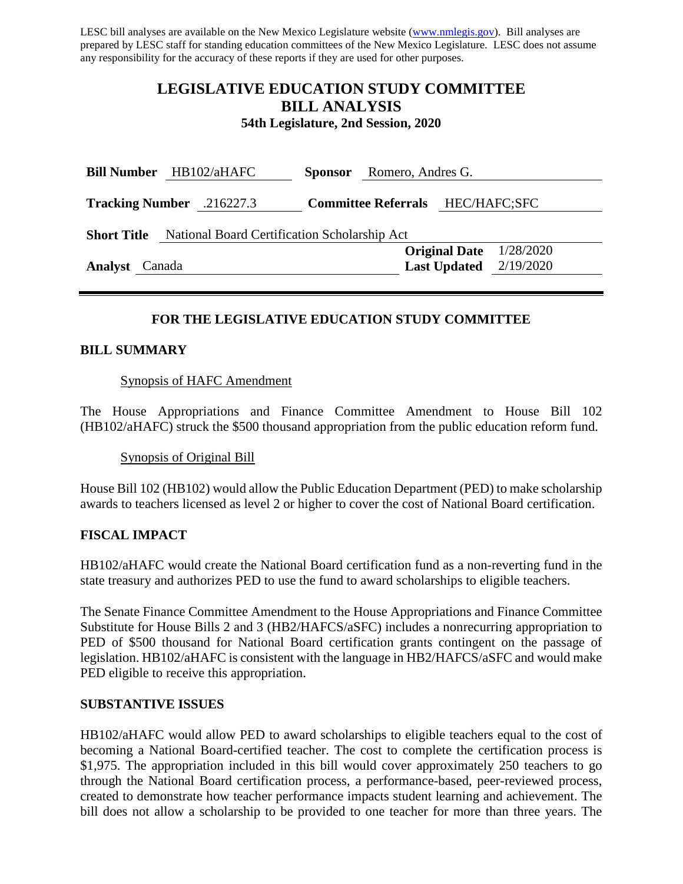LESC bill analyses are available on the New Mexico Legislature website [\(www.nmlegis.gov\)](http://www.nmlegis.gov/). Bill analyses are prepared by LESC staff for standing education committees of the New Mexico Legislature. LESC does not assume any responsibility for the accuracy of these reports if they are used for other purposes.

# **LEGISLATIVE EDUCATION STUDY COMMITTEE BILL ANALYSIS**

**54th Legislature, 2nd Session, 2020**

| <b>Bill Number</b>                                                 | HB102/aHAFC                      |  | Romero, Andres G.          |                      |                                 |  |
|--------------------------------------------------------------------|----------------------------------|--|----------------------------|----------------------|---------------------------------|--|
|                                                                    | <b>Tracking Number</b> .216227.3 |  | <b>Committee Referrals</b> | HEC/HAFC;SFC         |                                 |  |
| National Board Certification Scholarship Act<br><b>Short Title</b> |                                  |  |                            |                      |                                 |  |
|                                                                    |                                  |  |                            | <b>Original Date</b> | 1/28/2020                       |  |
| <b>Analyst</b> Canada                                              |                                  |  |                            |                      | <b>Last Updated</b> $2/19/2020$ |  |
|                                                                    |                                  |  |                            |                      |                                 |  |

## **FOR THE LEGISLATIVE EDUCATION STUDY COMMITTEE**

#### **BILL SUMMARY**

#### Synopsis of HAFC Amendment

The House Appropriations and Finance Committee Amendment to House Bill 102 (HB102/aHAFC) struck the \$500 thousand appropriation from the public education reform fund.

#### Synopsis of Original Bill

House Bill 102 (HB102) would allow the Public Education Department (PED) to make scholarship awards to teachers licensed as level 2 or higher to cover the cost of National Board certification.

### **FISCAL IMPACT**

HB102/aHAFC would create the National Board certification fund as a non-reverting fund in the state treasury and authorizes PED to use the fund to award scholarships to eligible teachers.

The Senate Finance Committee Amendment to the House Appropriations and Finance Committee Substitute for House Bills 2 and 3 (HB2/HAFCS/aSFC) includes a nonrecurring appropriation to PED of \$500 thousand for National Board certification grants contingent on the passage of legislation. HB102/aHAFC is consistent with the language in HB2/HAFCS/aSFC and would make PED eligible to receive this appropriation.

#### **SUBSTANTIVE ISSUES**

HB102/aHAFC would allow PED to award scholarships to eligible teachers equal to the cost of becoming a National Board-certified teacher. The cost to complete the certification process is \$1,975. The appropriation included in this bill would cover approximately 250 teachers to go through the National Board certification process, a performance-based, peer-reviewed process, created to demonstrate how teacher performance impacts student learning and achievement. The bill does not allow a scholarship to be provided to one teacher for more than three years. The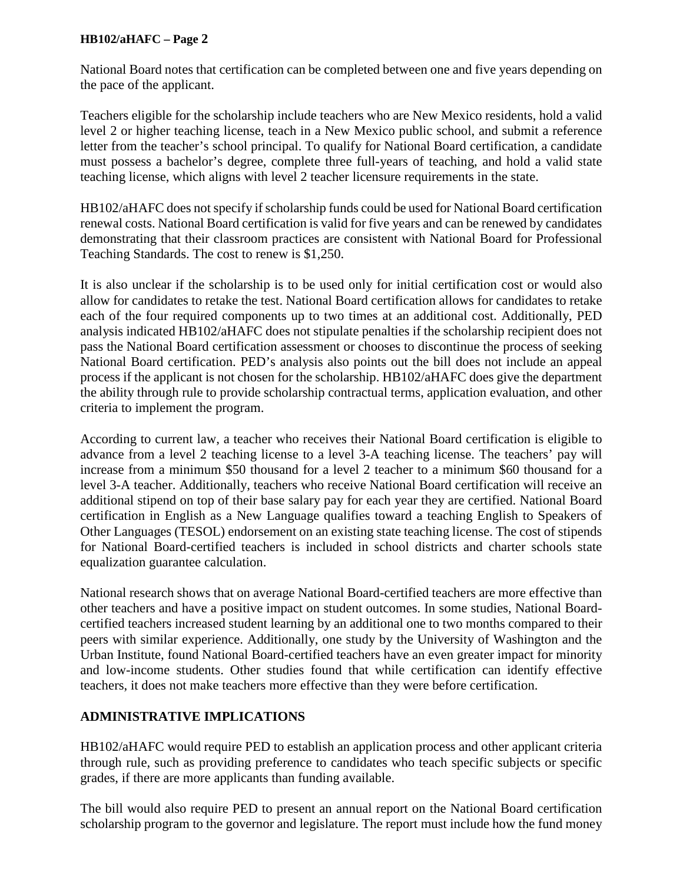## **HB102/aHAFC – Page 2**

National Board notes that certification can be completed between one and five years depending on the pace of the applicant.

Teachers eligible for the scholarship include teachers who are New Mexico residents, hold a valid level 2 or higher teaching license, teach in a New Mexico public school, and submit a reference letter from the teacher's school principal. To qualify for National Board certification, a candidate must possess a bachelor's degree, complete three full-years of teaching, and hold a valid state teaching license, which aligns with level 2 teacher licensure requirements in the state.

HB102/aHAFC does not specify if scholarship funds could be used for National Board certification renewal costs. National Board certification is valid for five years and can be renewed by candidates demonstrating that their classroom practices are consistent with National Board for Professional Teaching Standards. The cost to renew is \$1,250.

It is also unclear if the scholarship is to be used only for initial certification cost or would also allow for candidates to retake the test. National Board certification allows for candidates to retake each of the four required components up to two times at an additional cost. Additionally, PED analysis indicated HB102/aHAFC does not stipulate penalties if the scholarship recipient does not pass the National Board certification assessment or chooses to discontinue the process of seeking National Board certification. PED's analysis also points out the bill does not include an appeal process if the applicant is not chosen for the scholarship. HB102/aHAFC does give the department the ability through rule to provide scholarship contractual terms, application evaluation, and other criteria to implement the program.

According to current law, a teacher who receives their National Board certification is eligible to advance from a level 2 teaching license to a level 3-A teaching license. The teachers' pay will increase from a minimum \$50 thousand for a level 2 teacher to a minimum \$60 thousand for a level 3-A teacher. Additionally, teachers who receive National Board certification will receive an additional stipend on top of their base salary pay for each year they are certified. National Board certification in English as a New Language qualifies toward a teaching English to Speakers of Other Languages (TESOL) endorsement on an existing state teaching license. The cost of stipends for National Board-certified teachers is included in school districts and charter schools state equalization guarantee calculation.

National research shows that on average National Board-certified teachers are more effective than other teachers and have a positive impact on student outcomes. In some studies, National Boardcertified teachers increased student learning by an additional one to two months compared to their peers with similar experience. Additionally, one study by the University of Washington and the Urban Institute, found National Board-certified teachers have an even greater impact for minority and low-income students. Other studies found that while certification can identify effective teachers, it does not make teachers more effective than they were before certification.

## **ADMINISTRATIVE IMPLICATIONS**

HB102/aHAFC would require PED to establish an application process and other applicant criteria through rule, such as providing preference to candidates who teach specific subjects or specific grades, if there are more applicants than funding available.

The bill would also require PED to present an annual report on the National Board certification scholarship program to the governor and legislature. The report must include how the fund money